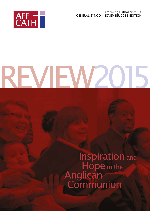Affirming Catholicism UK GENERAL SYNOD - NOVEMBER 2015 EDITION



# REVIEW2015

REVIEW 1984

# Inspiration and<br>Hope in the<br>Anglican<br>Communion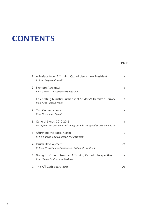# **CONTENTS**

| 1. A Preface from Affirming Catholicism's new President<br>Rt Revd Stephen Cottrell                   | 3              |
|-------------------------------------------------------------------------------------------------------|----------------|
| 2. Siempre Adelante!<br>Revd Canon Dr Rosemarie Mallett Chair                                         | $\overline{4}$ |
| 3. Celebrating Ministry Eucharist at St Mark's Hamilton Terrace<br>Revd Rose Hudson-Wilkin            | 6              |
| 4. Two Consecrations<br>Revd Dr Hannah Cleugh                                                         | 12             |
| 5. General Synod 2010-2015<br>Mary Johnston Convenor, Affirming Catholics in Synod (ACiS), until 2014 | 14             |
| 6. Affirming the Social Gospel<br>Rt Revd David Walker, Bishop of Manchester                          | 18             |
| 7. Parish Development<br>Rt Revd Dr Nicholas Chamberlain, Bishop of Grantham                          | 20             |
| 8. Going for Growth from an Affirming Catholic Perspective<br>Revd Canon Dr Charlotte Methuen         | 22             |
| 9. The Aff Cath Board 2015                                                                            | 24             |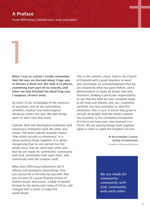# A Preface

1

From Affirming Catholicism's new president

When I was at school I vividly remember that the way we learned about frogs was to dissect a dead one. We took it to pieces, examining each part of its innards, and when we had finished the dead frog was, I suppose, thrown away.

So much of our knowledge of the universe, of ourselves, and all our astonishing scientific, medical and technological advances comes this way. We take things apart to learn how they work.

Catholic faith and theological endeavour and missionary enterprise work the other way round. The word catholic actually means, 'that which accords to wholeness'. It is about putting things together. It is about recognising that no one person has the whole story, that we need each other and that we are made for community: community with God; community with each other; and community with the creation itself.

What does Affirming Catholicism do? It affirms and proclaims these things: that you cannot be a Christian by yourself; that you are part of a great flowing stream of faithful prayer and praise, a body of people formed by the dying and rising of Christ, and charged with a vision to make the world whole.

This is the catholic vision, held in the Church of England with a great devotion to word and sacrament; an acknowledgment that we are shaped by what has gone before; and a determination to make all things new and, therefore, holding a particular responsibility to say that the faith we have received needs to be lived and shared, and, yes, examined carefully, but also extended so that this wholeness that is ours in Christ may grow to include all people. And the whole creation. Our business is the scandalous hospitality of God as we have seen and received it in Christ. We are putting things back together again in what is called the kingdom of God.

> **Rt Revd Stephen Cottrell, Bishop of Chelmsford** *President of Affirming Catholicism*

*We are made for community: community with God; community with each other.*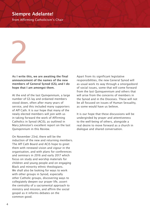# Siempre Adelante!

from Affirming Catholicism's Chair



As I write this, we are awaiting the final announcement of the names of the new members of General Synod (GS), and I do hope that I am amongst them.

At the end of the last Quinqennium, a large number of GS lay and ordained members stood down, often after many years of service, and this included many supporters of Aff Cath. It is our hope that many of the newly elected members will join with us in taking forward the work of Affirming Catholics in Synod (ACiS), as outlined in Mary Johnston's excellent report on the last Quinqennium in this Review.

On November 23rd, there will be the induction of the new and returning members. The Aff Cath Board and ACiS hope to greet them with renewed vision and vigour in the organisation, and with plans for conferences and seminars in 2016 and early 2017 which focus on study and worship materials for children and young people and on engaging Black and minority ethnic theologians. We shall also be looking for ways to work with other groups in Synod, especially other Catholic groups, discovering ways to collegiately deepen our prayer life, assert the centrality of a sacramental approach to ministry and mission, and affirm the social gospel as it informs debates on the common good.

Apart from its significant legislative responsibilities, the new General Synod will as usual work its way through a smorgasbord of social issues, some that will come forward from the last Quinquennium and others that will arise from the concerns of members in the Synod and in the Dioceses. These will not be all focused on issues of Human Sexuality, as some would have us believe.

It is our hope that these discussions will be undergirded by prayer and attentiveness to the well-being of others, alongside a real desire to move forward as a church in dialogue and shared conversation.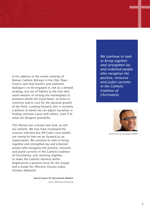In his address to the recent meeting of Roman Catholic Bishops in the USA, Pope Francis said that fearless and authentic dialogue is to be engaged in, not as a shrewd strategy, but out of fidelity to the One who never wearies of visiting the marketplace to proclaim afresh the Good News, to listen to concerns and to care for the spiritual growth of the flock. Looking forward, this is certainly a witness to which we can adjoin ourselves in finding common cause with others, even if at times we disagree gracefully.

This Review has a brand new look, as will our website. We may have revamped the exterior interface but Aff Cath's core beliefs are central to how we go forward as an organisation. We continue to seek to bring together and strengthen lay and ordained people who recognize the positive, inclusive and joyful currents in the Catholic tradition of Christianity; and, working together, to make the Catholic element within Anglicanism a positive force for the Gospel and a model for effective mission today. Siempre Adelante!

> **Revd Canon Dr Rosemarie Mallett** *Chair, Affirming Catholicism*

*We continue to seek to bring together and strengthen lay and ordained people who recognise the positive, inclusive and joyful currents in the Catholic tradition of Christianity*



*Revd Canon Dr Rosemarie Mallett*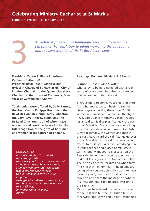# Celebrating Ministry Eucharist at St Mark's

Hamilton Terrace - 31 January 2015

*A Eucharist followed by champagne reception to mark the passing of the legislation to admit women to the episcopate a* Eucharist followed by champagne reception to passing of the legislation to admit women to the and the consecration of the Rt Revd Libby Lane.

President: Canon Philippa Boardman (St Paul's Cathedral).

Preacher: Revd Rose Hudson-Wilkin (Priest-in-Charge of St Mary-at-Hill, City of London; Chaplain to the Queen; Speaker's Chaplain to the House of Commons; Priest Vicar at Westminster Abbey).

Testimonies were offered by Sally Barnes, the Revd Canon Philippa Boardman, the Revd Dr Hannah Cleugh, Mary Johnston, the Very Revd Andrew Nunn, and the Rt Revd Clive Young, all of whom have worked – and continue to work – for the full recognition of the gifts of both men and women in the Church of England.

#### *Gracious God,*

*in whose image we are made, male and female: we thank you for the consecration of Libby as a bishop in your church; May her ministry and that of the whole church,bear witness to the reconciling love of your kingdom, through which divisions are healed, and in which women and men are one in Christ, in whose name we pray. Amen.*

#### **Readings: Romans 16; Mark 4. 35-end**

#### **Sermon – Rose Hudson-Wilkin**

What a joy to be here gathered with a real sense of celebration, but also an awareness that we are not quite there yet.

There is more to come, we are getting there! And what more, we can begin to see the visual signs of getting there: over 2,000 women are priests and of course, the Right Revd. Libby Lane! In today's gospel reading, Jesus said to his disciples, "Let us cross over to the East side." Many of us for a very long time, the dear deaconess spoken of in Bishop Clive's testimony, the women and men in the past, have heard the call, "Let us go over to the East side." It is a call that asks us in effect, to trust God. What you are doing here in your parishes and places of ministry is terrific, but I want you to crossover on the East side. In another gospel reading we are told that Jesus goes off to find a quiet place. The disciples search for him and when they find him they tell him that, "The people are loving what you are doing they want to have more of you." Jesus said, "No it is time to move on and share the message elsewhere; in a new context. Time to cross over on to the East side."

Many of us have heard the call to crossover to the East side but the institution tells us otherwise, and so we end up not responding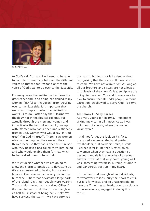

*Rt Revd Libby Lane*

to God's call. You and I will need to be able to learn to differentiate between the different voices so that we can respond only to the voice of God's call to go over to the East side.

For many years the institution has been the gatekeeper and in so doing has denied many women, faithful to the gospel, from crossing over to the East side. It is important that we do not simply do what the institution wants us to do. I often say that I learnt my theology not in theological colleges but actually through the men and women and in particular the faithful women I grew up with. Women who had a deep unquestionable trust in God. Women who would say "in God I trust" ("In Gad mi trust"). There I saw women who had nothing, yet they smiled; they thrived because they had a deep trust in God who they believed had called them into being and who would enable them for that which he had called them to be and do.

…

We must decide whether we are going to allow the storm to break us, to devastate us. We are accustomed to having hurricanes in Jamaica. One year we had a very severe one, hurricane Gilbert that devastated large parts of the island. Days later people were wearing T-shirts with the words "I survived Gilbert." We need to learn to do that to see the glass as half full instead of being half empty. We have survived the storm – we have survived

this storm, but let's not fall asleep without recognising that there are still more storms to come. We have not arrived yet. As long as all our brothers and sisters are not allowed in all levels of the church's leadership, we are not quite there yet. You and I have a role to play to ensure that all God's people, without exception, be allowed to serve God, to serve the church.

#### **Testimony I – Sally Barnes**

As a very young girl in 1953, I remember asking my vicar in all innocence as I was going out of church, where the women vicars were?

I shall not forget the look on his face, the raised eyebrows, the hand patting my shoulder, that sardonic smile, a smile I learned later in life that is often given to women when they have a question so beyond-the-pale it is unworthy of a serious answer. It was at that very point, young as I was, something wordless, burning, stubborn and dangerous built up in my heart. …

It is bad and sad enough when individuals, for whatever reasons, bury their own talents, but it is far worse, and so unacceptable, to have the Church as an institution, consciously or unconsciously, engaged in doing this for us.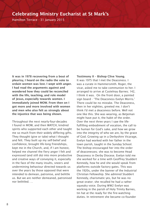Hamilton Terrace - 31 January 2015

It was in 1978 recovering from a bout of pleurisy, I heard on the radio the vote to ordain women was lost. I wept with anger. I had read the arguments against and wondered how they could be reconciled with the life, teaching, and role model of Jesus, especially towards women. I immediately joined MOW. From then on I got more and more involved with women and men who also felt as strongly about the injustice that was being shown.

Throughout the next nearly-four-decades I found in MOW, and then WATCH, kindred spirits who supported each other and taught me so much from their widely differing gifts. They thought (give or take) what I thought and felt. They built up my self-belief and confidence, brought life-long friendships, kept me in the Church, and, if I am honest, helped me channel the fiery anger I felt and expressed (and still do) into more productive and creative ways of conveying it, especially in the face of the many insults, sneers and undermining behaviour directed towards us over the years by those opposed that were intended to demean, patronise, and belittle us. But we are neither demeaned, patronised nor belittled. …

#### **Testimony II – Bishop Clive Young.**

It was 1975 that I met the Deaconess. I was a curate in Hammersmith. Roger, the vicar, asked me to take communion to her. I arranged to arrive at Castelnau Barnes; 142, I think it was. On the front door, a painted sign board - 'The Deaconess Evelyn Morris.' There could be no mistake. The Deaconess, then in her eighties, greeted me. I don't think I'd met a deaconess before. Well not one like this. She was wearing, as Betjeman might have put it, the habit of the order. Over the next three years I saw the lifefulfilling embodiment of vocation, the call to be human for God's sake, and how we grow into the integrity of who we are, by the grace of God. Growing up in a Derbyshire Vicarage, Evelyn had worked with her father in the town parish, taught in the Sunday School. The bishop encouraged her into the order of deaconesses; she was to become Head Deaconess in Derby Diocese. Evelyn told me she worked for a time with Geoffrey Studdert Kennedy, how he and she would speak from platforms outside factory gates. This was the 1920s, under the banner of the Industrial Christian Fellowship. She admired Studdert Kennedy, charismatic yes, but he was no great orator; she recalled he had a rather squeaky voice. During WW2 Evelyn was working in the parish of Holy Trinity Barnes, tin hat at the ready for the fire-watching duties. In retirement she became co-founder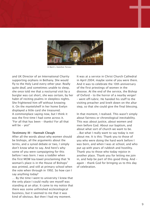

*St Mark's, Hamilton Terrace*

and UK Director of an International Charity supporting orphans in Bethany. She would fly to the Holy Land every other year. Really quite deaf, and sometimes unable to sleep, she once told me that a nocturnal visit by a burglar was cut short, she was certain, by her habit of reciting psalms in sleepless nights. She frightened him off without knowing it. On the mantelshelf in her home Evelyn displayed a little card she treasured. A commonplace saying now, but I think it was the first time I had come across it. "For all that has been – thanks! For all that will be – yes!"

#### **Testimony III – Hannah Cleugh**

After all the words about why women should be bishops, all the arguments about the terms, and a synod debate or two, I simply don't know what to say. And here's why: some of you were campaigning for this before I was born. I was a toddler when the first MOW tea-towel proclaiming that "A woman's place is in the House of Bishops" was printed, and still at primary school when the vote when through in 1992. So how can I say anything today?

… By the time I went to university I knew that the only place I could really see myself was standing at an altar. It came to my notice that there was some unfinished ecclesiological business, but it seemed to me that it was kind of obvious. But then I had my moment.

It was at a service in Christ Church Cathedral in April 2004; maybe some of you were there. And it was to celebrate the 10th anniversary of the first priestings of women in the diocese. At the end of the service, the Bishop of Oxford – to the horror of a nearby verger! – went off-rubric. He handed his staff to the visiting preacher and knelt down on the altar step, so that she could give the final blessing.

In that moment, I realised. This wasn't simply about fairness or chronological inevitability. This was about justice, about women and men before God. About our baptism, and about what sort of church we want to be. …But what I really want to say today is not about me. It is this: Thank you to those of you who were doing the hard work before I was born, and when I was at school, and who put up with years of rubbish and hostility. Thank you to those who today rejoice in another place. Thank you for letting me join in, and help be part of this good thing. And – again – thank God for bringing us to this day of celebration.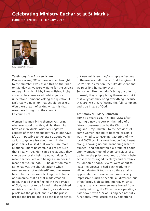# Celebrating Ministry Eucharist at St Mark's

Hamilton Terrace - 31 January 2015



*Revd Rose Hudson-Wilkin*

#### **Testimony IV – Andrew Nunn**

People ask me, "What have women brought to the church?" I was asked this on the radio on Monday as we were waiting for the service to begin in which Libby Lane – Bishop Libby – was to be consecrated. Whilst you can understand someone asking the question it isn't really a question that should be asked. Would we dream of asking what it is that men have brought to the church? Of course not.

Women like men bring themselves, bring whatever good qualities, skills, they might have as individuals, whatever negative aspects of their personality they might have. It's as impossible to generalise about women as it is to generalise about men. In the past I think I've said that women are more relational, more pastoral, but I'm not sure that's really true. Men can be relational, they can be pastoral – being a woman doesn't mean that you are and being a man doesn't mean that you're not. … The question really is: "What was the church lacking when women were not ordained?" And the answer has to be that we were lacking the fullness of humanity, that all that made creation good, that all that reflected the true image of God, was not to be found in the ordained ministry of the church. And if, as a deacon proclaims the gospel, and if as the priest breaks the bread, and if as the bishop sends

out new ministers they're simply reflecting in themselves half of what God has given of God's self in creation, then it's deficient and we're selling humanity short. So women, like men, don't bring anything so unusual, they simply bring themselves but in that very fact they bring everything because they are, we are, reflecting the full, complete and true image of God. …

#### **Testimony V – Mary Johnston**

Some 35 years ago, I fell into MOW after hearing a news report on the radio of a fatuous over-reaction by the Church of England – my Church – to the activities of some women hoping to become priests. I was invited to an evening gathering of my local MOW cell in a West London flat; I went along, knowing no-one, wondering what to expect – and encountered a group of about eight women, most of them conscious of a calling to the priesthood, most of them being actively discouraged by clergy and certainly by London bishops. Several were about to leave the diocese. I had been working in HR in industry. It took me no time at all to appreciate that these women were a very impressive bunch of people, all different, but of uniformly high calibre; moreover, since they and all such women were barred from priestly ministry, the Church was operating at half power, with 50% of its engines not fully functional. I was struck too by something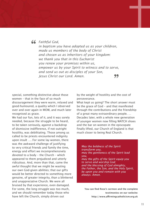*Faithful God,*

*in baptism you have adopted us as your children, made us members of the body of Christ and chosen us as inheritors of your kingdom: we thank you that in this Eucharist you renew your promises within us, empower us by your Spirit to witness and to serve, and send us out as disciples of your Son, Jesus Christ our Lord. Amen.* 99

special, something distinctive about those women – that in the face of so much discouragement they were warm, relaxed and good-humoured, a quality which I observed over and over again in MOW, and much later recognised as grace.

We had our fun, lots of it, and it was sorely needed, because the struggle to be heard, to be taken seriously, against a backdrop of dismissive indifference, if not outright hostility, was debilitating. Those among us called to be priests encountered indignity upon insult …. For some lay women, there was the awkward challenge of justifying to very critical friends and family the time, energy and effort we incomprehensively devoted to a body – the Church – which appeared to them prejudiced and utterly ridiculous. And, more than that, came the awful thought that we might be wasting our own God-given abilities; that our gifts would be better directed to something more genuine, of greater integrity, than a blinkered and unappreciative Church. We were all bruised by that experience, even damaged. For some, the long struggle was too much, and we should remember today those who have left the Church, simply driven out

by the weight of hostility and the cost of perseverance.

What kept us going? The short answer must be the grace of God – and that manifested through the contributions and the friendship of a great many extraordinary people. … Decades later, with a whole new generation of younger women now filling WATCH shoes and the bar on women in the episcopate finally lifted, our Church of England is that much closer to being Real Church.

*May the boldness of the Spirit transform you, may the gentleness of the Spirit lead you, may the gifts of the Spirit equip you to serve and worship God; and the blessing of God almighty, the Father, the Son, and the Holy Spirit, be upon you and remain with you always. Amen.*

**You can find Rose's sermon and the complete testimonies on our website: http://www.affirmingcatholicism.org.uk**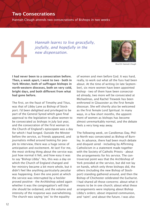### Two Consecrations

Hannah Cleugh attends two consecrations of Bishops in two weeks

**Hannah learns to live gracefully,**<br>joyfully, and hopefully in the<br>new dispensation. *joyfully, and hopefully in the new dispensation.*



*Revd Dr Hannah Cleugh*

I had never been to a consecration before. Then, a week apart, I went to two - both in York Minster, both of suffragan bishops in north-western dioceses, both on very cold, bright days, and both different from what had gone before.

The first, on the feast of Timothy and Titus, was that of Libby Lane as Bishop of Stockport. I'd been delighted and privileged to be part of the General Synod which gave final approval to the legislation to allow women to be consecrated as bishops in July last year, and the consecration of the first woman to the Church of England's episcopate was a day for which I had longed. Outside the Minster before the service, as friends appeared, and journalists milled around looking for people to interview, there was a huge sense of anticipation and excitement. At last! For me, the most striking thing about the service was just how normal it felt, and how easy it was to say "Bishop Libby". Yes, this was a day on which the Church of England changed and her ministry became a bit more whole, but it didn't feel like anything particularly peculiar was happening. Even the one point at which the service was interrupted by a heckler proved positive - the Archbishop asked again whether it was the congregation's will that she should be ordained, and the volume and intensity of the response was overwhelming. The church was saying 'yes' to the equality

of women and men before God. It was hard, really, to work out what all the fuss had been about. At the time of writing (in late September), six more women have been appointed bishop - two of them have been consecrated already, two more will be consecrated at Michaelmas, and Rachel Treweek has been enthroned in Gloucester as the first female diocesan. She will shortly also be welcomed as the first female Lord Spiritual. In many ways, in a few short months, the appointment of women as bishops has become almost unremarkably normal, and the debate feels a very long way away.

The following week, on Candlemas Day, Philip North was consecrated as Bishop of Burnley. In advance, there had been much debate and disquiet aired - including by Affirming Catholicism in a statement made together with the Society of Catholic Priests - about the arrangements for his service. The controversial point was that the Archbishop of York presided at the service, but did not lay on hands, which only three bishops did, the others (including the new Bishop of Stockport) standing gathered around, and then the Bishop of Chichester celebrated the Eucharist. I had shared all those concerns: about what it means to be in one church; about what these arrangements were implying about Bishop Libby's orders; about impaired communion, and 'taint'; and about the future. I was also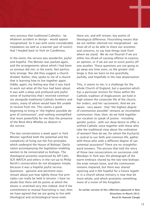very anxious that traditional Catholics - by whatever accident or design - would appear marginalised. So it was with some considerable trepidation (as well as a warmer pair of socks!) that I headed back to York on Candlemas.

In the event, the service was wonderful, joyful and hopeful. The Minster was packed again, and the arrangements about which I had been so anxious did not, in the event, feel particularly strange. Nor did they suggest a church divided. Rather, they spoke to me of a church that is learning how to live together again. Oddly, again, my feeling was that it was hard to work out what all the fuss had been about. It was with a deep and profound and joyful sense of eucharistia that I received communion alongside traditional Catholic brothers and sisters, many of whom would have felt unable to receive from me. This seems a good beginning to living in "the highest possible degree of communion", and nothing exemplified that more powerfully for me than the presence of the Revd Alice Whalley as deacon in the service.

The two consecrations a week apart in York Minster signified both the potential and the complexity of living out the five principles which undergird the House of Bishops' Declaration accompanying the legislation enabling women to be consecrated as bishops. The theological anxieties expressed by Aff Cath, SCP, WATCH and others in the run-up to Philip North's consecration do not disappear simply because it was a hopeful joyful service. Questions - genuine and pertinent ones remain about just how tightly those five principles can really be held in tension. I have no doubt that there will be points at which the elastic is stretched very thin indeed. And if the commitment to mutual flourishing is real, then we have agreed that we are going to live with theological and ecclesiological loose-ends:

there are, and will remain, key points of theological difference. Flourishing means that we are neither silenced nor marginalised – we must all of us be able to share our anxieties and concerns, to say how things look from where we stand. We do not flourish if we are either too afraid of causing offence to express an opinion, or if we are out to score points off one another. These questions are not going to go away any time soon, so the greater challenge is that we learn to live gracefully, joyfully, and hopefully in the new dispensation.

This, it seems to me, is a challenge for the whole Church of England, but a question which has a particular texture for those within the Catholic tradition of Anglicanism: we hold in high esteem the corporate life of the church, her orders, and her sacraments. And we are aware - very aware - that "the highest degree of communion possible" remains an incomplete communion. How, then, do we hold together our vocation to speak of justice - including gender justice - with our deep desire to offer a unified Catholic voice together with those who take the traditional view about the ordination of women? How do we, for whom the Eucharist is central to our faith and common life, gather with those who seek a different degree of sacramental assurance? There are no straightforward answers. The picture that told the story of those two consecrations on successive cold Mondays in York was the photograph of the warm embrace shared by the two new bishops: the ends remain loose, and the communion remains impaired, but there was shared rejoicing and it felt hopeful for a future together in a church whose ministry is now that bit more whole, and which proclaims something more of a vision of the Kingdom.

**An earlier version of this reflection appeared in New Directions in March 2015. Revd Dr Hannah Cleugh**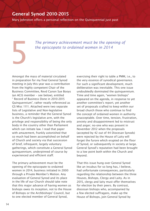# General Synod 2010-2015

Mary Johnston offers a personal reflection on the Quinquennial just past

Amongst the mass of material circulated in preparation for my final General Synod meeting in July this year was a contribution from the highly competent Chair of the Business Committee, Revd Canon Sue Booys (an ACiS member – see below), entitled " Record of Business Done in 2010-2015 Quinquennium", rather neatly referenced as GS Misc 1111. Attached were two separate lists of Legislative and Non-legislative business, a reminder that the General Synod is the Church's legislative arm, with the privilege and responsibility of being the only body in the country other than Parliament which can initiate law. I read that paper with amazement, frankly astonished that so much had been accomplished on behalf of Church and society via that succession of brief, infrequent, largely voluntary gatherings, which constitute a General Synod quinquennium, underpinned of course by experienced and efficient staff.

The primary achievement must be the opening of the episcopate to ordained women in 2014, business initiated in 2000 through a Private Member's Motion. Any evaluation of General Synod and its place in the life of our Church should take note that this major advance of having women as bishops owes its inception, not to the House of Bishops or the Archbishops' Council, but to one elected member of General Synod,

The primary achievement must be the opening of<br>the episcopate to ordained women in 2014 *the episcopate to ordained women in 2014*

> exercising their right to table a PMM, i.e., to the very essence of synodical governance. For such a significant development, much deliberation was inevitable. This one issue undoubtedly dominated the quinquennium. Time and time again, "women bishops" appeared on the agenda, in response to yet another committee's report, yet another set of proposals crafted to keep within our broad church those who continue to find the concept of ordained women in authority unacceptable. Over time, tension, frustration, anxiety and disappointment led to mistrust and anger; no-one who was present in November 2012 when the proposals (accepted by 42 out of 44 Diocesan Synods) were rejected by the House of Laity will forget the furore which erupted on the floor of Synod, or subsequently in society at large. General Synod's reputation had been brought to a low point both within the Church and beyond.

That this issue hung over General Synod like an incubus for so long has, I believe, had unfortunate consequences, particularly regarding the relationship between the three Houses, Bishops, Clergy and Laity. As in 2015, clergy and laity must offer themselves for election by their peers. By contrast, diocesan bishops who, accompanied by a few elected suffragans, make up the House of Bishops, join General Synod by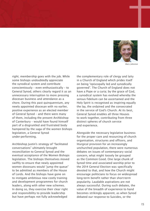

*Mary Johnston*

right; membership goes with the job. While some bishops undoubtedly appreciate the synodical system and contribute conscientiously – even enthusiastically – to General Synod, others clearly regard it as an unnecessary interruption to more pressing diocesan business and attendance as a chore. During this past quinquennium, any newly appointed diocesan with no earlier, positive experience as an elected member of General Synod – and there were many of them, including the present Archbishop of Canterbury – would have found himself part of a disgruntled and frustrated body hampered by the saga of the women bishops legislation, a General Synod under-performing.

Archbishop Justin's strategy of "facilitated conversations" ultimately brought reconciliation to General Synod and the eventual acceptance of the Women Bishops legislation. The bishops themselves moved swiftly to ensure that newly appointed women diocesans would "jump the queue" to be admitted as members of the House of Lords. And the bishops have gone on to instigate ambitious new costly training and development programmes for church leaders, along with other new schemes. In doing so, they exercise their clear right and responsibility to provide leadership but have perhaps not fully acknowledged

the complementary role of clergy and laity in a Church of England which prides itself on being "episcopally led and synodically governed". The Church of England does not have a Pope or a curia; by the grace of God, a synodical system has evolved whereby the sensus fidelium can be ascertained and the Holy Spirit is recognised as inspiring equally the lay, the ordained and the consecrated in the service of God's Church. At its best, General Synod enables all three Houses to work together, contributing from three distinct spheres of church service and experience.

Alongside the necessary legislative business for the proper care and resourcing of church organisation, structures and officers, and liturgical provision for an increasingly unchurched population, there were numerous debates on issues of contemporary social concern, what might loosely be grouped as the Common Good. One large chunk of Synod time and associated worship prior to the 2014 General Election was specifically devoted to that, and how the Church might encourage politicians to focus on widespread long-term benefit rather than short-term popularity. Laudable aspirations are not always successful. During such debates, the value of the breadth of experience to hand becomes strikingly apparent, as when Synod debated our response to Suicides, or the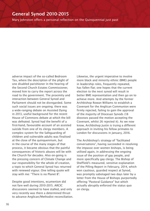# General Synod 2010-2015

Mary Johnston offers a personal reflection on the Quinquennial just past

adverse impact of the so-called Bedroom Tax, where the description of the plight of one disabled parishioner in the hearing of the Second Church Estates Commissioner, moved him to carry the report across the road to the government. The proximity and interaction between General Synod and Parliament should not be disregarded. Some such social issues are ongoing; there was a wide-ranging debate on Assisted Dying in 2013, useful background for the recent House of Commons debate at which the bill was defeated. Synod had the benefit of a first-hand, favourable account of an assisted suicide from one of its clergy members. A complex system for the Safeguarding of children and vulnerable adults was finalised at the close of the quinquennium, but in the course of the many stages of that process, it became obvious that the painful consequences of historic abuses will be with the Church for decades. Also on-going is the pressing concern of Climate Change and our responsibility for the whole of creation, a topic to which General Synod has returned with renewed vigour. One telling quote will stay with me: "There is no Planet B".

Despite good intentions, ecumenism did not fare well during 2010-2015. ARCIC discussions seemed to have stalled, and only very recently was there a determined thrust to advance Anglican/Methodist reconciliation. Likewise, the urgent imperative to involve more black and minority ethnic (BME) people in leadership roles, frequently repeated, has fallen flat; one hopes that the current election to the next synod will result in better BME representation and then go on to achieve more. And attempts by the former Archbishop Rowan Williams to establish a Covenant for the Anglican Communion were firmly rejected, failing to gain the approval of the majority of Diocesan Synods (18 dioceses passed the motion accepting the Covenant, whilst 26 rejected it). As we now know, Archbishop Justin is trying a different approach in inviting his fellow primates to London for discussions in January, 2016.

The Archbishop's strategy of "facilitated conversations", having succeeded in resolving the impasse over women bishops, is being utilised again, in addressing the ongoing issue of the position of gay people, and more specifically gay clergy. The Bishop of Sheffield's measured, sensitive explanation of the Pilling Report in February, 2014, which won cautious, guarded respect at Synod, was promptly sabotaged two days later by a letter from the House of Bishops purportedly offering "Pastoral Guidance" but which actually abruptly enforced the status quo on clergy.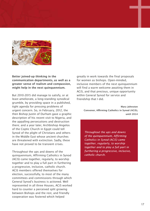

Better joined-up thinking in the communication departments, as well as a greater sense of realism and compassion, might help in the next quinquennium.

But 2010-2015 did manage to satisfy, or at least ameliorate, a long-standing synodical grumble, by providing space in a published, tight agenda for pressing problems of urgent concern. So, in February, 2012, the then Bishop Justin of Durham gave a graphic description of his recent visit to Nigeria, and the appalling persecutions and destruction there; and a year later, Archbishop Angelos of the Coptic Church in Egypt could tell Synod of the plight of Christians and others in the Middle East whose ancient churches are threatened with extinction. Sadly, these have not proved to be transient crises.

Throughout the ups and downs of the quinquennium, Affirming Catholics in Synod (ACiS) came together, regularly, to worship together and to play a full part in furthering a progressive, inclusive, catholic church. ACiS members offered themselves for election, successfully, to most of the many committees and commissions through which General Synod's business is actioned. Well represented in all three Houses, ACiS worked hard to counter a perceived split growing between Bishops and the rest, and friendly cooperation was fostered which helped

greatly in work towards the final proposals for women as bishops. Open-minded, inclusive members of the next quinquennium will find a warm welcome awaiting them in ACiS, and that precious, unique opportunity within General Synod for service and friendship that I did.

> **Mary Johnston Convenor, Affirming Catholics in Synod (ACiS), until 2014**

*Throughout the ups and downs of the quinquennium, Affirming Catholics in Synod (ACiS) came together, regularly, to worship together and to play a full part in furthering a progressive, inclusive, catholic church.*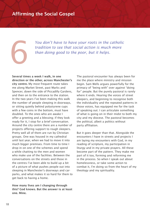# Affirming the Social Gospel

You don't have to have your roots in the catholic tradition to see that social action is much more than doing good to the poor, but it helps. *tradition to see that social action is much more than doing good to the poor, but it helps.*

Several times a week I walk, in one direction or the other, across Manchester's city centre. My most frequent route takes me along Market Street, past Marks and Spencer, down the side of Piccadilly Gardens, and then on to the entrance to the station. In the two years I've been making this walk the number of people sleeping in doorways, or sitting quietly behind polystyrene cups with a few coins in the bottom, must have doubled. To the ones who are awake I offer a greeting and a blessing; if they look ready for it, I stop for a brief conversation. Around the city centre there are a number of projects offering support to rough sleepers. Pretty well all of them are run by Christian groups. One was housed in my cathedral until last year, when we had to move it into much bigger premises. From time to time I drop in on one of the schemes and spend a while chatting to the men and women who make use of the facilities. Between the conversations on the streets and those in the centres I've been able to build up a bit of a picture of what pushes people out into sleeping in Manchester's doorways and carparks, and what makes it so hard for them to get back to having a home.

How many lives am I changing through this? God knows. But the answer is at least one. Mine.

The pastoral encounter has always been for me the place where ministry and mission begin. Sam Wells argues powerfully for the primacy of "being with" over against "doing for" people. But the purely pastoral is rarely where it ends. Hearing the voices of street sleepers, and beginning to recognise both the individuality and the repeated patterns in those voices, has equipped me for the task of speaking out. I can articulate something of what is going on in their midst to both my city and my diocese. The pastoral becomes the political, albeit a politics without party affiliation.

But it goes deeper than that. Alongside the encounters I have in streets and projects I am laying my encounters with God, in my reading of scripture, my participation in liturgy and in my private prayers. All these become part of the pattern. They make me part of it too, forming and reforming me in the process. So when I speak out about homelessness, or take some action to combat it, I'm doing so from the heart of my theology and my spirituality.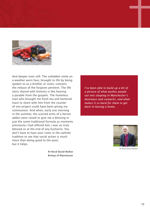

And deeper even still. The unbidden smile on a weather worn face, brought to life by being spoken to as a brother or sister, contains the release of the forgiven penitent. The life story shared with honesty is like hearing a parable from the gospels. The homeless man who brought me fresh tea and buttered toast to share with him from the counter of one project could have been giving me communion. And when, early one morning in the summer, the scarred arms of a heroin addict were raised to give me a blessing in just the same traditional formula as moments previously I had offered him, I was as truly blessed as at the end of any Eucharist. You don't have to have your roots in the catholic tradition to see that social action is much more than doing good to the poor, but it helps.

> **Rt Revd David Walker Bishop of Manchester**

*I've been able to build up a bit of a picture of what pushes people out into sleeping in Manchester's doorways and carparks, and what makes it so hard for them to get back to having a home.*



*Rt Revd David Walker*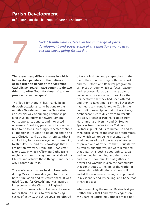# Parish Development

Reflections on the challenge of parish development

*Nick Chamberlain reflects on the challenge of parish development and poses some of the questions we nee*<br>ask ourselves going forward... *development and poses some of the questions we need to ask ourselves going forward…* 

There are many different ways in which to 'develop' parishes. In the delivery of this brief on behalf of the Affirming Catholicism Board I have sought to do two things: to offer 'food for thought' and to provide 'reflective space'.

The 'food for thought' has mainly been through occasional contributions to the monthly Newsletter. I see the Newsletter as a crucial way of building relationships (and thus an informal network) among our supporters, donors, and interested onlookers. Speaking personally, I am rather tired to be told increasingly repeatedly about all the things I 'ought' to be doing and being as a Christian and as a parish priest. What I am looking for is encouragement, something to stimulate me and the knowledge that I am not on my own. I think the Newsletter is one way in which Affirming Catholicism might repair and strengthen the fabric of the Church and achieve these things – and that is why I contribute to it.

The conference that we held in Newcastle during May 2015 was designed to provide both stimulation and reflective space. It was titled 'Going for Growth' and was inspired in response to the Church of England's report From Anecdote to Evidence. However, rather than be a spur to ever-increasing cycles of activity, the three speakers offered

different insights and perspectives on the life of the church – using both the report and the Reform and Renewal programme as lenses through which to focus reaction and response. Participants were able to converse with each other, to explore the perspectives that they had been offered, and then to take time to bring all that they had heard and contributed to God in the concluding worship. In their different ways, Archdeacon Geoff Miller from Newcastle Diocese, Professor Pauline Pearson from Northumbria University and Dr Stephen Spencer from the Yorkshire Training Partnership helped us to humanise and to theologise some of the change programmes with which we are being presented and reminded us of the importance of stories, of prayer, and of evidence that is qualitative as well as quantitative. We were reminded that a parish is both a geographical area and an idea in the mind and the spirit – and that the community that gathers in prayer and worship is also the community that contributes to the life of the world, in partnership with all others of goodwill. I ended the conference feeling strengthened in my identity and my calling, and hope that others did also.

When compiling the Annual Review last year I rather think that I and my colleagues on the Board of Affirming Catholicism did not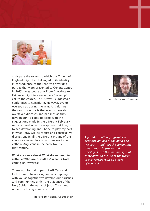

anticipate the extent to which the Church of England might be challenged in its identity in consequence of the reports of working parties that were presented to General Synod in 2015. I was aware that From Anecdote to Evidence might in a sense be a 'wake up' call to the church. This is why I suggested a conference to consider it. However, events overtook us during the year. And during the year my sense is that events have also overtaken dioceses and parishes as they have begun to come to terms with the suggestions made in the different February reports. I welcome the response that I begin to see developing and I hope to play my part in what I pray will be robust and constructive discussions in all the different organs of the church as we explore what it means to be catholic Anglicans in the early twentyfirst century.

#### What are our values? What do we need to rethink? Who are our allies? What is God calling us towards?

Thank you for being part of Aff Cath and I look forward to working and worshipping with you as together we develop our parishes and communities under the guidance of the Holy Spirit in the name of Jesus Christ and under the loving mantle of God.



*Rt Revd Dr Nicholas Chamberlain*

*A parish is both a geographical area and an idea in the mind and the spirit – and that the community that gathers in prayer and worship is also the community that contributes to the life of the world, in partnership with all others of goodwill.*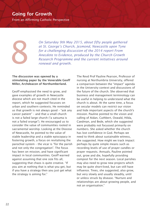# Going for Growth

From an Affirming Catholic Perspective



On Saturday 9th May 2015, about fifty people gathered at St. George's Church, Jesmond, Newcastle upon Tyne for a challenging discussion of the 2014 report From Anecdote to Evidence, produced by the Church Growth Research P *at St. George's Church, Jesmond, Newcastle upon Tyne for a challenging discussion of the 2014 report From Anecdote to Evidence, produced by the Church Growth Research Programme and the current initiatives around renewal and growth.* 

#### The discussion was opened by a stimulating paper by the Venerable Geoff Miller, Archdeacon of Northumberland.

Geoff emphasised the need to grow, and gave examples of growth in Newcastle diocese which are not much cited in the report, which he suggested focusses on urban and southern contexts. He reminded us that growth is not always good – "ask any cancer patient" – and that a small church is not a failed large church ("a satsuma is not a failed orange"). He encouraged us to consider the value of communities rooted in sacramental worship. Looking at the Diocese of Newcastle, he pointed to the value of stable leadership and a stable episcopacy in fostering growth, a focus on revitalising the parochial system – the vicar is "for the parish and not only the congregation". The focus has been on mission, and have significant impact in local communities. Geoff warned against assuming that one size fits all, suggesting that chaos is quite creative. "If you aim at nothing that is what you get, but if you have a strategy then you just get what the strategy is aiming for."

The Revd Prof Pauline Pearson, Professor of nursing at Northumbria University, offered a comparison between the "impact" agenda in the University context and discussions of the future of the church. She observed that business and management terminology can be useful in helping to understand what the church is about. At the same time, a focus on secular models can restrict our vision and hide important aspects of the church's mission. Pauline pointed to the vision and calling of Aidan, Cuthbert, Oswald, Hilda, Caedman, and Bede, which she suggested were probably not focussed primarily on numbers. She asked whether the church has lost confidence in God. Perhaps we need to think about sustainable witness, she suggested. How might we track impact: perhaps by quite simple means such as recording levels of use of prayer candles or prayer requests. Annuals, Pauline pointed out, grow and die, hopefully providing compost for the next season. Local parishes may also need to grow new projects which may be quite short-lived, but can still have influence. Trees, she suggested, also grow, but very slowly and usually steadily, until or unless struck by disease. "Nurture and relationships are about growing people, and not an organisation."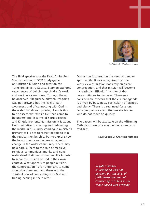

*Revd Canon Dr Charlotte Methuen*

The final speaker was the Revd Dr Stephen Spencer, author of SCM Study-guide on Christian Mission and tutor on the Yorkshire Ministry Course. Stephen explored experiences of building up children's work and work in a care home. Through these, he observed, "Regular Sunday churchgoing was not growing but the level of faith awareness and of connecting with God in the wider parish was growing. How is this to be assessed?" "Missio Dei" has come to be understood in terms of Spirit-directed and Kingdom-orientated mission: it is about God's initiative in creating and redeeming the world. In this understanding, a minister's primary call is not to recruit people to join the regular membership, but to explore how the local church can become an agent of change in the wider community. There may be a parallel here to the role of medieval religious communities: monks and nuns maintained their own communal life in order to serve the mission of God in their own context. What appeals to people outside the congregation "is for Christians to come alongside them and help them with the spiritual task of connecting with God and finding healing in their lives."

Discussion focussed on the need to deepen spiritual life. It was recognised that the wider view of mission does rely on a core congregation, and that mission will become increasingly difficult if the size of that core continues to decrease. There was considerable concern that the current agenda is driven by busy-ness, particularly of bishops and clergy. There is a real need for a longterm perspective – and that means leaders who do not move on quickly.

The papers will be available on the Affirming Catholicism website soon, either as audio or text files.

#### **Revd Canon Dr Charlotte Methuen**

*Regular Sunday churchgoing was not growing but the level of faith awareness and of connecting with God in the wider parish was growing*